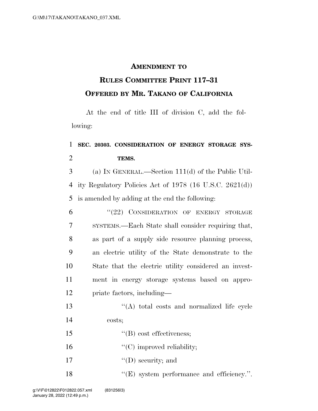## **AMENDMENT TO**

## **RULES COMMITTEE PRINT 117–31 OFFERED BY MR. TAKANO OF CALIFORNIA**

At the end of title III of division C, add the following:

## 1 **SEC. 20303. CONSIDERATION OF ENERGY STORAGE SYS-**2 **TEMS.**

3 (a) IN GENERAL.—Section 111(d) of the Public Util-4 ity Regulatory Policies Act of 1978 (16 U.S.C. 2621(d)) 5 is amended by adding at the end the following:

| 6              | "(22) CONSIDERATION OF ENERGY STORAGE                 |
|----------------|-------------------------------------------------------|
| $\overline{7}$ | SYSTEMS.—Each State shall consider requiring that,    |
| 8              | as part of a supply side resource planning process,   |
| 9              | an electric utility of the State demonstrate to the   |
| 10             | State that the electric utility considered an invest- |
| 11             | ment in energy storage systems based on appro-        |
| 12             | priate factors, including—                            |

- 13 ''(A) total costs and normalized life cycle 14 costs;
- 15  $\text{``(B) cost effectiveness;}$
- 16  $C$  (C) improved reliability;
- 17  $"({\rm D})$  security; and
- 18 "(E) system performance and efficiency.".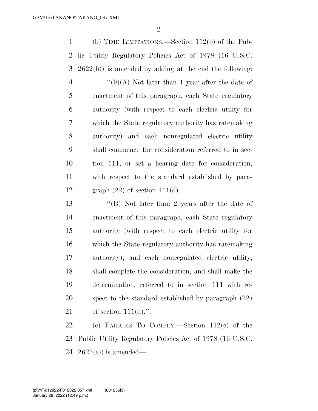(b) TIME LIMITATIONS.—Section 112(b) of the Pub- lic Utility Regulatory Policies Act of 1978 (16 U.S.C. 2622(b)) is amended by adding at the end the following:  $\frac{1}{2}(9)(A)$  Not later than 1 year after the date of enactment of this paragraph, each State regulatory authority (with respect to each electric utility for which the State regulatory authority has ratemaking authority) and each nonregulated electric utility shall commence the consideration referred to in sec- tion 111, or set a hearing date for consideration, with respect to the standard established by para-12 graph  $(22)$  of section 111(d).

 ''(B) Not later than 2 years after the date of enactment of this paragraph, each State regulatory authority (with respect to each electric utility for which the State regulatory authority has ratemaking authority), and each nonregulated electric utility, shall complete the consideration, and shall make the determination, referred to in section 111 with re- spect to the standard established by paragraph (22) of section 111(d).''.

 (c) FAILURE TO COMPLY.—Section 112(c) of the Public Utility Regulatory Policies Act of 1978 (16 U.S.C. 24  $2622(e)$  is amended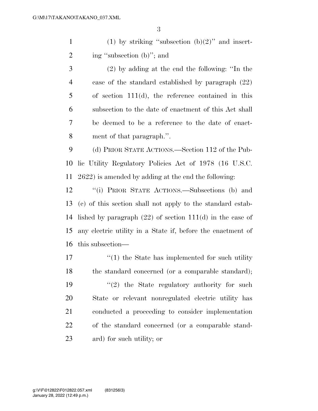1 (1) by striking "subsection  $(b)(2)$ " and insert-ing ''subsection (b)''; and

 (2) by adding at the end the following: ''In the case of the standard established by paragraph (22) of section 111(d), the reference contained in this subsection to the date of enactment of this Act shall be deemed to be a reference to the date of enact-ment of that paragraph.''.

 (d) PRIOR STATE ACTIONS.—Section 112 of the Pub- lic Utility Regulatory Policies Act of 1978 (16 U.S.C. 2622) is amended by adding at the end the following:

 ''(i) PRIOR STATE ACTIONS.—Subsections (b) and (c) of this section shall not apply to the standard estab- lished by paragraph (22) of section 111(d) in the case of any electric utility in a State if, before the enactment of this subsection—

17 ''(1) the State has implemented for such utility 18 the standard concerned (or a comparable standard);  $\frac{1}{2}$  the State regulatory authority for such State or relevant nonregulated electric utility has conducted a proceeding to consider implementation of the standard concerned (or a comparable stand-ard) for such utility; or